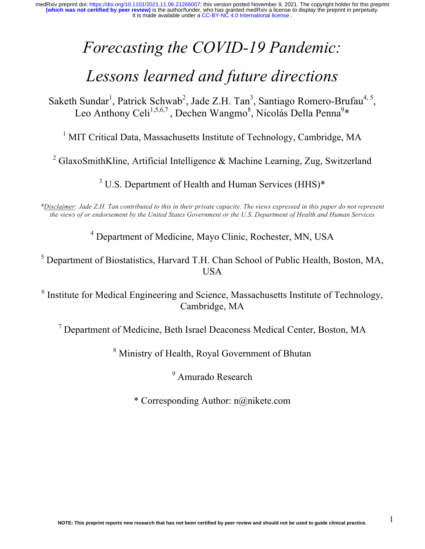# *Forecasting the COVID-19 Pandemic:*

# *Lessons learned and future directions*

Saketh Sundar<sup>1</sup>, Patrick Schwab<sup>2</sup>, Jade Z.H. Tan<sup>3</sup>, Santiago Romero-Brufau<sup>4, 5</sup>, Leo Anthony Celi<sup>1,5,6,7</sup>, Dechen Wangmo<sup>8</sup>, Nicolás Della Penna<sup>9</sup>\*

<sup>1</sup> MIT Critical Data, Massachusetts Institute of Technology, Cambridge, MA

<sup>2</sup> GlaxoSmithKline, Artificial Intelligence & Machine Learning, Zug, Switzerland

<sup>3</sup> U.S. Department of Health and Human Services (HHS)\*

*\*Disclaimer: Jade Z.H. Tan contributed to this in their private capacity. The views expressed in this paper do not represent the views of or endorsement by the United States Government or the U.S. Department of Health and Human Services*

<sup>4</sup> Department of Medicine, Mayo Clinic, Rochester, MN, USA

<sup>5</sup> Department of Biostatistics, Harvard T.H. Chan School of Public Health, Boston, MA, USA

<sup>6</sup> Institute for Medical Engineering and Science, Massachusetts Institute of Technology, Cambridge, MA

<sup>7</sup> Department of Medicine, Beth Israel Deaconess Medical Center, Boston, MA

<sup>8</sup> Ministry of Health, Royal Government of Bhutan

<sup>9</sup> Amurado Research

\* Corresponding Author: n@nikete.com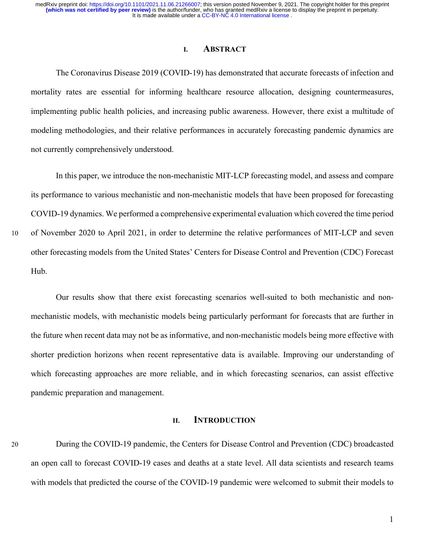#### **I. ABSTRACT**

The Coronavirus Disease 2019 (COVID-19) has demonstrated that accurate forecasts of infection and mortality rates are essential for informing healthcare resource allocation, designing countermeasures, implementing public health policies, and increasing public awareness. However, there exist a multitude of modeling methodologies, and their relative performances in accurately forecasting pandemic dynamics are not currently comprehensively understood.

In this paper, we introduce the non-mechanistic MIT-LCP forecasting model, and assess and compare its performance to various mechanistic and non-mechanistic models that have been proposed for forecasting COVID-19 dynamics. We performed a comprehensive experimental evaluation which covered the time period

10 of November 2020 to April 2021, in order to determine the relative performances of MIT-LCP and seven other forecasting models from the United States' Centers for Disease Control and Prevention (CDC) Forecast Hub.

Our results show that there exist forecasting scenarios well-suited to both mechanistic and nonmechanistic models, with mechanistic models being particularly performant for forecasts that are further in the future when recent data may not be as informative, and non-mechanistic models being more effective with shorter prediction horizons when recent representative data is available. Improving our understanding of which forecasting approaches are more reliable, and in which forecasting scenarios, can assist effective pandemic preparation and management.

## **II. INTRODUCTION**

20 During the COVID-19 pandemic, the Centers for Disease Control and Prevention (CDC) broadcasted an open call to forecast COVID-19 cases and deaths at a state level. All data scientists and research teams with models that predicted the course of the COVID-19 pandemic were welcomed to submit their models to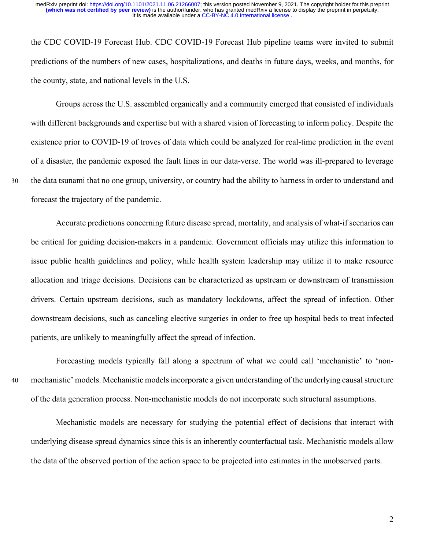the CDC COVID-19 Forecast Hub. CDC COVID-19 Forecast Hub pipeline teams were invited to submit predictions of the numbers of new cases, hospitalizations, and deaths in future days, weeks, and months, for the county, state, and national levels in the U.S.

Groups across the U.S. assembled organically and a community emerged that consisted of individuals with different backgrounds and expertise but with a shared vision of forecasting to inform policy. Despite the existence prior to COVID-19 of troves of data which could be analyzed for real-time prediction in the event of a disaster, the pandemic exposed the fault lines in our data-verse. The world was ill-prepared to leverage 30 the data tsunami that no one group, university, or country had the ability to harness in order to understand and forecast the trajectory of the pandemic.

Accurate predictions concerning future disease spread, mortality, and analysis of what-if scenarios can be critical for guiding decision-makers in a pandemic. Government officials may utilize this information to issue public health guidelines and policy, while health system leadership may utilize it to make resource allocation and triage decisions. Decisions can be characterized as upstream or downstream of transmission drivers. Certain upstream decisions, such as mandatory lockdowns, affect the spread of infection. Other downstream decisions, such as canceling elective surgeries in order to free up hospital beds to treat infected patients, are unlikely to meaningfully affect the spread of infection.

Forecasting models typically fall along a spectrum of what we could call 'mechanistic' to 'non-40 mechanistic' models. Mechanistic models incorporate a given understanding of the underlying causal structure of the data generation process. Non-mechanistic models do not incorporate such structural assumptions.

Mechanistic models are necessary for studying the potential effect of decisions that interact with underlying disease spread dynamics since this is an inherently counterfactual task. Mechanistic models allow the data of the observed portion of the action space to be projected into estimates in the unobserved parts.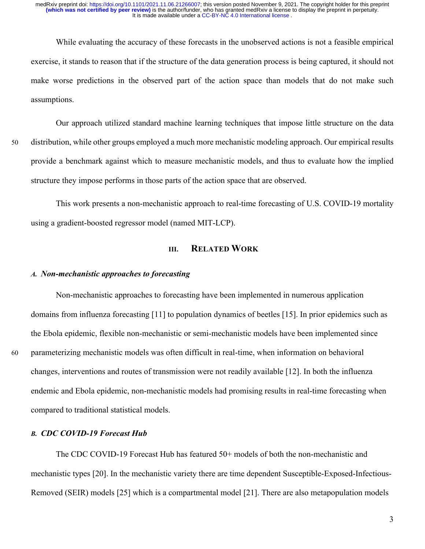While evaluating the accuracy of these forecasts in the unobserved actions is not a feasible empirical exercise, it stands to reason that if the structure of the data generation process is being captured, it should not make worse predictions in the observed part of the action space than models that do not make such assumptions.

Our approach utilized standard machine learning techniques that impose little structure on the data 50 distribution, while other groups employed a much more mechanistic modeling approach. Our empirical results provide a benchmark against which to measure mechanistic models, and thus to evaluate how the implied structure they impose performs in those parts of the action space that are observed.

This work presents a non-mechanistic approach to real-time forecasting of U.S. COVID-19 mortality using a gradient-boosted regressor model (named MIT-LCP).

# **III. RELATED WORK**

#### *A. Non-mechanistic approaches to forecasting*

Non-mechanistic approaches to forecasting have been implemented in numerous application domains from influenza forecasting [11] to population dynamics of beetles [15]. In prior epidemics such as the Ebola epidemic, flexible non-mechanistic or semi-mechanistic models have been implemented since 60 parameterizing mechanistic models was often difficult in real-time, when information on behavioral changes, interventions and routes of transmission were not readily available [12]. In both the influenza endemic and Ebola epidemic, non-mechanistic models had promising results in real-time forecasting when compared to traditional statistical models.

#### *B. CDC COVID-19 Forecast Hub*

The CDC COVID-19 Forecast Hub has featured 50+ models of both the non-mechanistic and mechanistic types [20]. In the mechanistic variety there are time dependent Susceptible-Exposed-Infectious-Removed (SEIR) models [25] which is a compartmental model [21]. There are also metapopulation models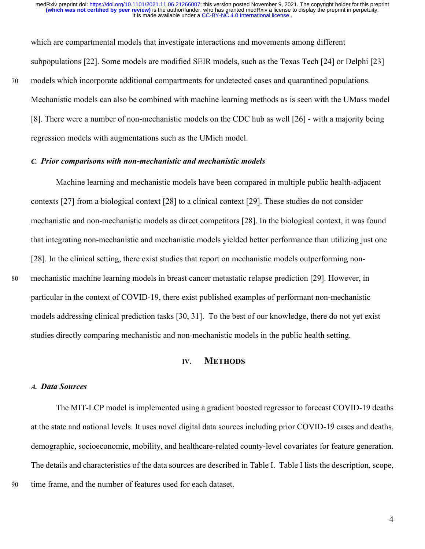which are compartmental models that investigate interactions and movements among different subpopulations [22]. Some models are modified SEIR models, such as the Texas Tech [24] or Delphi [23] 70 models which incorporate additional compartments for undetected cases and quarantined populations. Mechanistic models can also be combined with machine learning methods as is seen with the UMass model [8]. There were a number of non-mechanistic models on the CDC hub as well [26] - with a majority being regression models with augmentations such as the UMich model.

#### *C. Prior comparisons with non-mechanistic and mechanistic models*

Machine learning and mechanistic models have been compared in multiple public health-adjacent contexts [27] from a biological context [28] to a clinical context [29]. These studies do not consider mechanistic and non-mechanistic models as direct competitors [28]. In the biological context, it was found that integrating non-mechanistic and mechanistic models yielded better performance than utilizing just one [28]. In the clinical setting, there exist studies that report on mechanistic models outperforming non-80 mechanistic machine learning models in breast cancer metastatic relapse prediction [29]. However, in particular in the context of COVID-19, there exist published examples of performant non-mechanistic models addressing clinical prediction tasks [30, 31]. To the best of our knowledge, there do not yet exist studies directly comparing mechanistic and non-mechanistic models in the public health setting.

# **IV. METHODS**

#### *A. Data Sources*

The MIT-LCP model is implemented using a gradient boosted regressor to forecast COVID-19 deaths at the state and national levels. It uses novel digital data sources including prior COVID-19 cases and deaths, demographic, socioeconomic, mobility, and healthcare-related county-level covariates for feature generation. The details and characteristics of the data sources are described in Table I. Table I lists the description, scope, 90 time frame, and the number of features used for each dataset.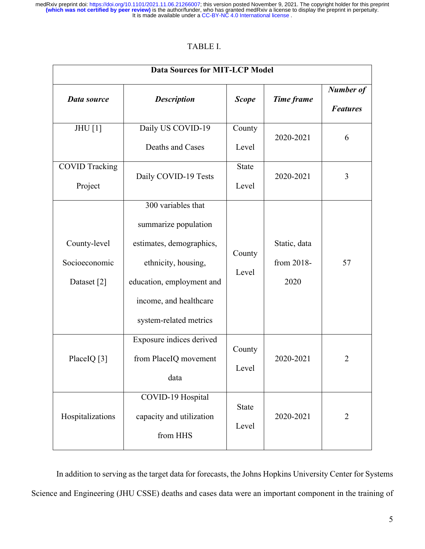# TABLE I.

| <b>Data Sources for MIT-LCP Model</b>        |                                                                                                                                                                                |                       |                                    |                                     |
|----------------------------------------------|--------------------------------------------------------------------------------------------------------------------------------------------------------------------------------|-----------------------|------------------------------------|-------------------------------------|
| Data source                                  | <b>Description</b>                                                                                                                                                             | <b>Scope</b>          | Time frame                         | <b>Number of</b><br><b>Features</b> |
| <b>JHU</b> [1]                               | Daily US COVID-19<br>Deaths and Cases                                                                                                                                          | County<br>Level       | 2020-2021                          | 6                                   |
| <b>COVID Tracking</b><br>Project             | Daily COVID-19 Tests                                                                                                                                                           | <b>State</b><br>Level | 2020-2021                          | 3                                   |
| County-level<br>Socioeconomic<br>Dataset [2] | 300 variables that<br>summarize population<br>estimates, demographics,<br>ethnicity, housing,<br>education, employment and<br>income, and healthcare<br>system-related metrics | County<br>Level       | Static, data<br>from 2018-<br>2020 | 57                                  |
| PlaceIQ [3]                                  | Exposure indices derived<br>from PlaceIQ movement<br>data                                                                                                                      | County<br>Level       | 2020-2021                          | $\overline{2}$                      |
| Hospitalizations                             | COVID-19 Hospital<br>capacity and utilization<br>from HHS                                                                                                                      | <b>State</b><br>Level | 2020-2021                          | $\overline{2}$                      |

In addition to serving as the target data for forecasts, the Johns Hopkins University Center for Systems Science and Engineering (JHU CSSE) deaths and cases data were an important component in the training of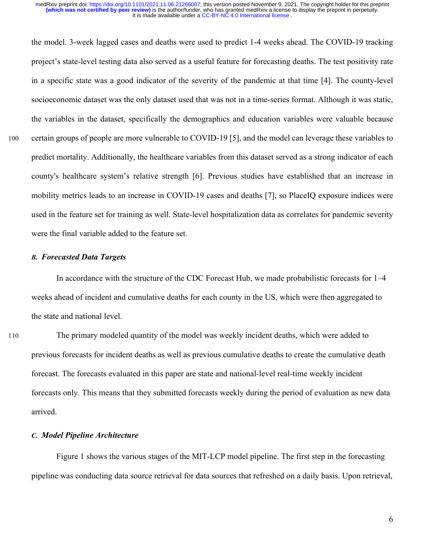the model. 3-week lagged cases and deaths were used to predict 1-4 weeks ahead. The COVID-19 tracking project's state-level testing data also served as a useful feature for forecasting deaths. The test positivity rate in a specific state was a good indicator of the severity of the pandemic at that time [4]. The county-level socioeconomic dataset was the only dataset used that was not in a time-series format. Although it was static, the variables in the dataset, specifically the demographics and education variables were valuable because 100 certain groups of people are more vulnerable to COVID-19 [5], and the model can leverage these variables to predict mortality. Additionally, the healthcare variables from this dataset served as a strong indicator of each county's healthcare system's relative strength [6]. Previous studies have established that an increase in mobility metrics leads to an increase in COVID-19 cases and deaths [7], so PlaceIQ exposure indices were used in the feature set for training as well. State-level hospitalization data as correlates for pandemic severity were the final variable added to the feature set.

# *B. Forecasted Data Targets*

In accordance with the structure of the CDC Forecast Hub, we made probabilistic forecasts for 1–4 weeks ahead of incident and cumulative deaths for each county in the US, which were then aggregated to the state and national level.

110 The primary modeled quantity of the model was weekly incident deaths, which were added to previous forecasts for incident deaths as well as previous cumulative deaths to create the cumulative death forecast. The forecasts evaluated in this paper are state and national-level real-time weekly incident forecasts only. This means that they submitted forecasts weekly during the period of evaluation as new data arrived.

#### *C. Model Pipeline Architecture*

Figure 1 shows the various stages of the MIT-LCP model pipeline. The first step in the forecasting pipeline was conducting data source retrieval for data sources that refreshed on a daily basis. Upon retrieval,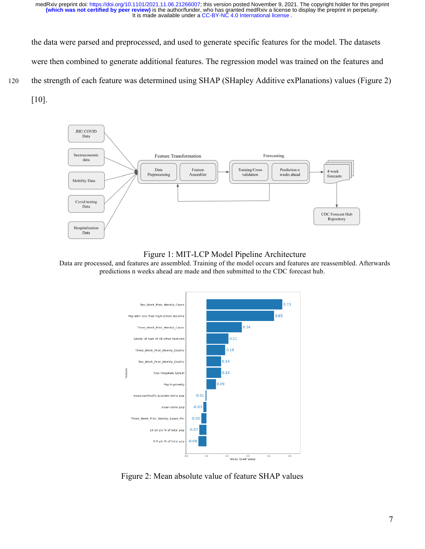the data were parsed and preprocessed, and used to generate specific features for the model. The datasets were then combined to generate additional features. The regression model was trained on the features and 120 the strength of each feature was determined using SHAP (SHapley Additive exPlanations) values (Figure 2)

[10].



Figure 1: MIT-LCP Model Pipeline Architecture

Data are processed, and features are assembled. Training of the model occurs and features are reassembled. Afterwards predictions n weeks ahead are made and then submitted to the CDC forecast hub.



Figure 2: Mean absolute value of feature SHAP values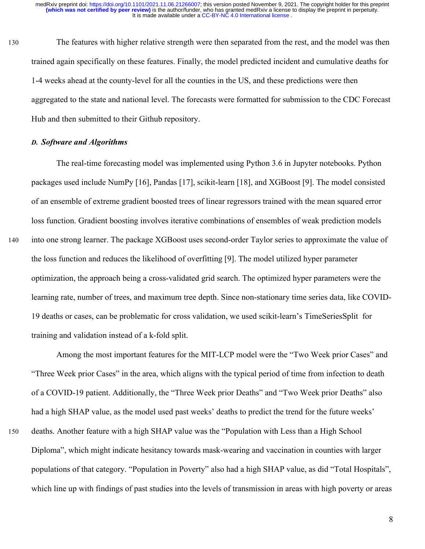130 The features with higher relative strength were then separated from the rest, and the model was then trained again specifically on these features. Finally, the model predicted incident and cumulative deaths for 1-4 weeks ahead at the county-level for all the counties in the US, and these predictions were then aggregated to the state and national level. The forecasts were formatted for submission to the CDC Forecast Hub and then submitted to their Github repository.

# *D. Software and Algorithms*

The real-time forecasting model was implemented using Python 3.6 in Jupyter notebooks. Python packages used include NumPy [16], Pandas [17], scikit-learn [18], and XGBoost [9]. The model consisted of an ensemble of extreme gradient boosted trees of linear regressors trained with the mean squared error loss function. Gradient boosting involves iterative combinations of ensembles of weak prediction models 140 into one strong learner. The package XGBoost uses second-order Taylor series to approximate the value of the loss function and reduces the likelihood of overfitting [9]. The model utilized hyper parameter optimization, the approach being a cross-validated grid search. The optimized hyper parameters were the learning rate, number of trees, and maximum tree depth. Since non-stationary time series data, like COVID-19 deaths or cases, can be problematic for cross validation, we used scikit-learn's TimeSeriesSplit for training and validation instead of a k-fold split.

Among the most important features for the MIT-LCP model were the "Two Week prior Cases" and "Three Week prior Cases" in the area, which aligns with the typical period of time from infection to death of a COVID-19 patient. Additionally, the "Three Week prior Deaths" and "Two Week prior Deaths" also had a high SHAP value, as the model used past weeks' deaths to predict the trend for the future weeks' 150 deaths. Another feature with a high SHAP value was the "Population with Less than a High School

Diploma", which might indicate hesitancy towards mask-wearing and vaccination in counties with larger populations of that category. "Population in Poverty" also had a high SHAP value, as did "Total Hospitals", which line up with findings of past studies into the levels of transmission in areas with high poverty or areas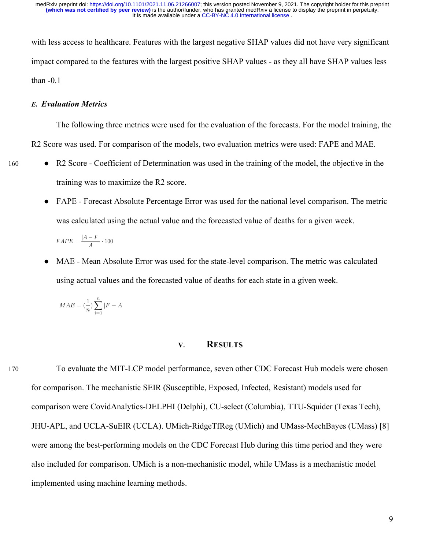with less access to healthcare. Features with the largest negative SHAP values did not have very significant impact compared to the features with the largest positive SHAP values - as they all have SHAP values less than  $-0.1$ 

#### *E. Evaluation Metrics*

The following three metrics were used for the evaluation of the forecasts. For the model training, the R2 Score was used. For comparison of the models, two evaluation metrics were used: FAPE and MAE.

- 160 R2 Score Coefficient of Determination was used in the training of the model, the objective in the training was to maximize the R2 score.
	- FAPE Forecast Absolute Percentage Error was used for the national level comparison. The metric was calculated using the actual value and the forecasted value of deaths for a given week.

 $FAPE = \frac{|A - F|}{4} \cdot 100$ 

MAE - Mean Absolute Error was used for the state-level comparison. The metric was calculated using actual values and the forecasted value of deaths for each state in a given week.

$$
MAE = (\frac{1}{n})\sum_{i=1}^{n}|F - A|
$$

# **V. RESULTS**

170 To evaluate the MIT-LCP model performance, seven other CDC Forecast Hub models were chosen for comparison. The mechanistic SEIR (Susceptible, Exposed, Infected, Resistant) models used for comparison were CovidAnalytics-DELPHI (Delphi), CU-select (Columbia), TTU-Squider (Texas Tech), JHU-APL, and UCLA-SuEIR (UCLA). UMich-RidgeTfReg (UMich) and UMass-MechBayes (UMass) [8] were among the best-performing models on the CDC Forecast Hub during this time period and they were also included for comparison. UMich is a non-mechanistic model, while UMass is a mechanistic model implemented using machine learning methods.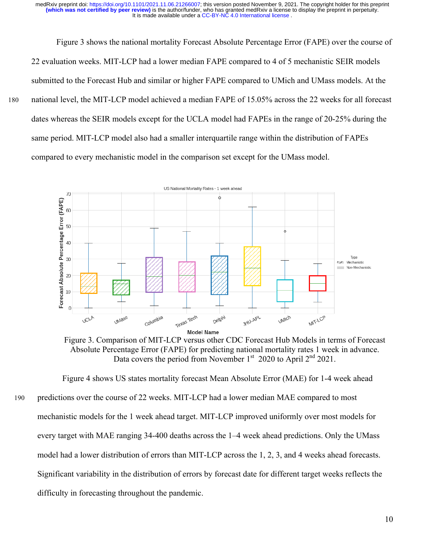Figure 3 shows the national mortality Forecast Absolute Percentage Error (FAPE) over the course of 22 evaluation weeks. MIT-LCP had a lower median FAPE compared to 4 of 5 mechanistic SEIR models submitted to the Forecast Hub and similar or higher FAPE compared to UMich and UMass models. At the 180 national level, the MIT-LCP model achieved a median FAPE of 15.05% across the 22 weeks for all forecast dates whereas the SEIR models except for the UCLA model had FAPEs in the range of 20-25% during the same period. MIT-LCP model also had a smaller interquartile range within the distribution of FAPEs compared to every mechanistic model in the comparison set except for the UMass model.





Figure 4 shows US states mortality forecast Mean Absolute Error (MAE) for 1-4 week ahead 190 predictions over the course of 22 weeks. MIT-LCP had a lower median MAE compared to most mechanistic models for the 1 week ahead target. MIT-LCP improved uniformly over most models for every target with MAE ranging 34-400 deaths across the 1–4 week ahead predictions. Only the UMass model had a lower distribution of errors than MIT-LCP across the 1, 2, 3, and 4 weeks ahead forecasts. Significant variability in the distribution of errors by forecast date for different target weeks reflects the difficulty in forecasting throughout the pandemic.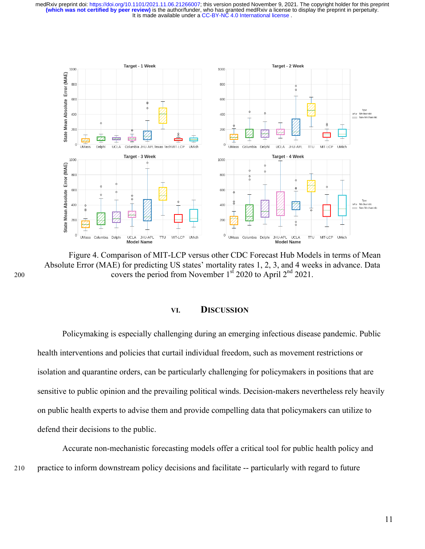It is made available under a CC-BY-NC 4.0 International license. **(which was not certified by peer review)** is the author/funder, who has granted medRxiv a license to display the preprint in perpetuity. medRxiv preprint doi: [https://doi.org/10.1101/2021.11.06.21266007;](https://doi.org/10.1101/2021.11.06.21266007) this version posted November 9, 2021. The copyright holder for this preprint



Figure 4. Comparison of MIT-LCP versus other CDC Forecast Hub Models in terms of Mean Absolute Error (MAE) for predicting US states' mortality rates 1, 2, 3, and 4 weeks in advance. Data 200 covers the period from November  $1<sup>st</sup>$  2020 to April  $2<sup>nd</sup>$  2021.

#### **VI. DISCUSSION**

Policymaking is especially challenging during an emerging infectious disease pandemic. Public health interventions and policies that curtail individual freedom, such as movement restrictions or isolation and quarantine orders, can be particularly challenging for policymakers in positions that are sensitive to public opinion and the prevailing political winds. Decision-makers nevertheless rely heavily on public health experts to advise them and provide compelling data that policymakers can utilize to defend their decisions to the public.

Accurate non-mechanistic forecasting models offer a critical tool for public health policy and 210 practice to inform downstream policy decisions and facilitate -- particularly with regard to future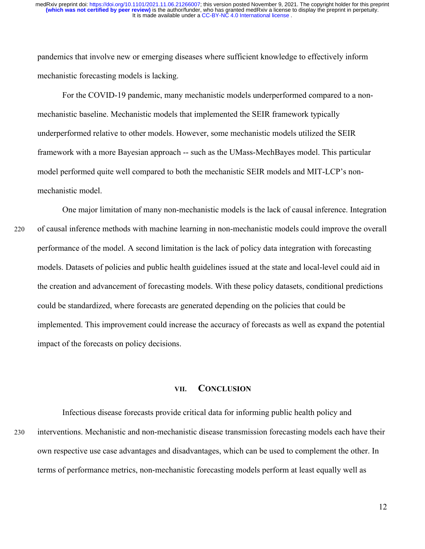pandemics that involve new or emerging diseases where sufficient knowledge to effectively inform mechanistic forecasting models is lacking.

For the COVID-19 pandemic, many mechanistic models underperformed compared to a nonmechanistic baseline. Mechanistic models that implemented the SEIR framework typically underperformed relative to other models. However, some mechanistic models utilized the SEIR framework with a more Bayesian approach -- such as the UMass-MechBayes model. This particular model performed quite well compared to both the mechanistic SEIR models and MIT-LCP's nonmechanistic model.

One major limitation of many non-mechanistic models is the lack of causal inference. Integration 220 of causal inference methods with machine learning in non-mechanistic models could improve the overall performance of the model. A second limitation is the lack of policy data integration with forecasting models. Datasets of policies and public health guidelines issued at the state and local-level could aid in the creation and advancement of forecasting models. With these policy datasets, conditional predictions could be standardized, where forecasts are generated depending on the policies that could be implemented. This improvement could increase the accuracy of forecasts as well as expand the potential impact of the forecasts on policy decisions.

# **VII. CONCLUSION**

Infectious disease forecasts provide critical data for informing public health policy and 230 interventions. Mechanistic and non-mechanistic disease transmission forecasting models each have their own respective use case advantages and disadvantages, which can be used to complement the other. In terms of performance metrics, non-mechanistic forecasting models perform at least equally well as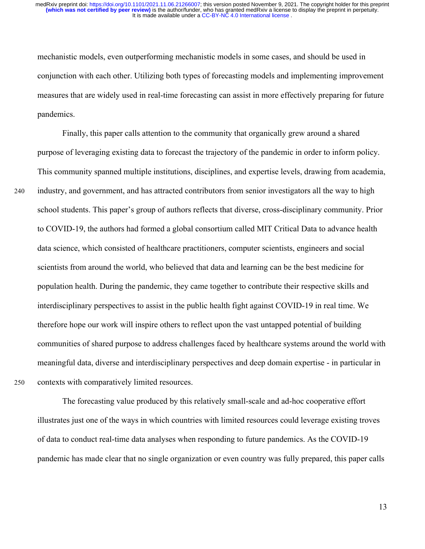mechanistic models, even outperforming mechanistic models in some cases, and should be used in conjunction with each other. Utilizing both types of forecasting models and implementing improvement measures that are widely used in real-time forecasting can assist in more effectively preparing for future pandemics.

Finally, this paper calls attention to the community that organically grew around a shared purpose of leveraging existing data to forecast the trajectory of the pandemic in order to inform policy. This community spanned multiple institutions, disciplines, and expertise levels, drawing from academia, 240 industry, and government, and has attracted contributors from senior investigators all the way to high school students. This paper's group of authors reflects that diverse, cross-disciplinary community. Prior to COVID-19, the authors had formed a global consortium called MIT Critical Data to advance health data science, which consisted of healthcare practitioners, computer scientists, engineers and social scientists from around the world, who believed that data and learning can be the best medicine for population health. During the pandemic, they came together to contribute their respective skills and interdisciplinary perspectives to assist in the public health fight against COVID-19 in real time. We therefore hope our work will inspire others to reflect upon the vast untapped potential of building communities of shared purpose to address challenges faced by healthcare systems around the world with meaningful data, diverse and interdisciplinary perspectives and deep domain expertise - in particular in 250 contexts with comparatively limited resources.

The forecasting value produced by this relatively small-scale and ad-hoc cooperative effort illustrates just one of the ways in which countries with limited resources could leverage existing troves of data to conduct real-time data analyses when responding to future pandemics. As the COVID-19 pandemic has made clear that no single organization or even country was fully prepared, this paper calls

13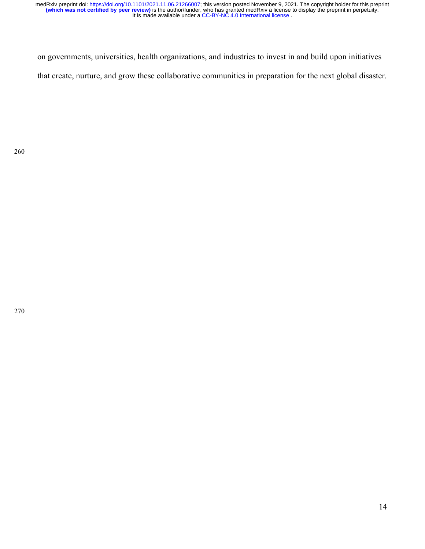on governments, universities, health organizations, and industries to invest in and build upon initiatives that create, nurture, and grow these collaborative communities in preparation for the next global disaster.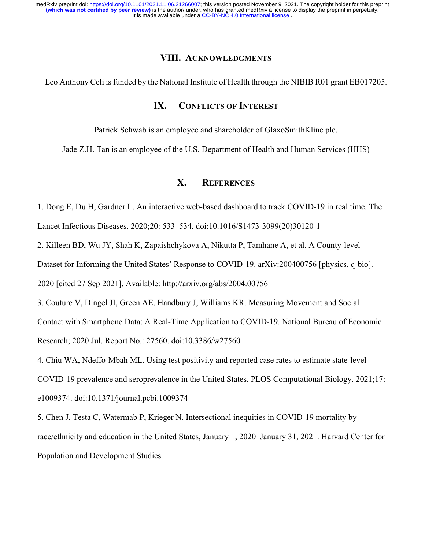# **VIII. ACKNOWLEDGMENTS**

Leo Anthony Celi is funded by the National Institute of Health through the NIBIB R01 grant EB017205.

# **IX. CONFLICTS OF INTEREST**

Patrick Schwab is an employee and shareholder of GlaxoSmithKline plc.

Jade Z.H. Tan is an employee of the U.S. Department of Health and Human Services (HHS)

# **X. REFERENCES**

1. Dong E, Du H, Gardner L. An interactive web-based dashboard to track COVID-19 in real time. The

Lancet Infectious Diseases. 2020;20: 533–534. doi:10.1016/S1473-3099(20)30120-1

2. Killeen BD, Wu JY, Shah K, Zapaishchykova A, Nikutta P, Tamhane A, et al. A County-level

Dataset for Informing the United States' Response to COVID-19. arXiv:200400756 [physics, q-bio].

2020 [cited 27 Sep 2021]. Available: http://arxiv.org/abs/2004.00756

3. Couture V, Dingel JI, Green AE, Handbury J, Williams KR. Measuring Movement and Social Contact with Smartphone Data: A Real-Time Application to COVID-19. National Bureau of Economic Research; 2020 Jul. Report No.: 27560. doi:10.3386/w27560

4. Chiu WA, Ndeffo-Mbah ML. Using test positivity and reported case rates to estimate state-level COVID-19 prevalence and seroprevalence in the United States. PLOS Computational Biology. 2021;17: e1009374. doi:10.1371/journal.pcbi.1009374

5. Chen J, Testa C, Watermab P, Krieger N. Intersectional inequities in COVID-19 mortality by race/ethnicity and education in the United States, January 1, 2020–January 31, 2021. Harvard Center for Population and Development Studies.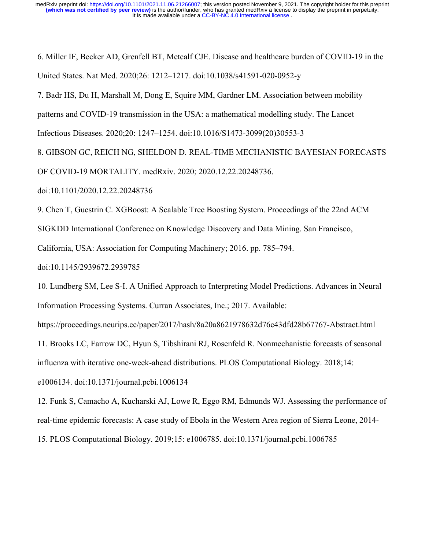6. Miller IF, Becker AD, Grenfell BT, Metcalf CJE. Disease and healthcare burden of COVID-19 in the United States. Nat Med. 2020;26: 1212–1217. doi:10.1038/s41591-020-0952-y

7. Badr HS, Du H, Marshall M, Dong E, Squire MM, Gardner LM. Association between mobility

patterns and COVID-19 transmission in the USA: a mathematical modelling study. The Lancet

Infectious Diseases. 2020;20: 1247–1254. doi:10.1016/S1473-3099(20)30553-3

8. GIBSON GC, REICH NG, SHELDON D. REAL-TIME MECHANISTIC BAYESIAN FORECASTS

OF COVID-19 MORTALITY. medRxiv. 2020; 2020.12.22.20248736.

doi:10.1101/2020.12.22.20248736

9. Chen T, Guestrin C. XGBoost: A Scalable Tree Boosting System. Proceedings of the 22nd ACM

SIGKDD International Conference on Knowledge Discovery and Data Mining. San Francisco,

California, USA: Association for Computing Machinery; 2016. pp. 785–794.

doi:10.1145/2939672.2939785

10. Lundberg SM, Lee S-I. A Unified Approach to Interpreting Model Predictions. Advances in Neural Information Processing Systems. Curran Associates, Inc.; 2017. Available:

https://proceedings.neurips.cc/paper/2017/hash/8a20a8621978632d76c43dfd28b67767-Abstract.html

11. Brooks LC, Farrow DC, Hyun S, Tibshirani RJ, Rosenfeld R. Nonmechanistic forecasts of seasonal

influenza with iterative one-week-ahead distributions. PLOS Computational Biology. 2018;14:

e1006134. doi:10.1371/journal.pcbi.1006134

12. Funk S, Camacho A, Kucharski AJ, Lowe R, Eggo RM, Edmunds WJ. Assessing the performance of real-time epidemic forecasts: A case study of Ebola in the Western Area region of Sierra Leone, 2014-

15. PLOS Computational Biology. 2019;15: e1006785. doi:10.1371/journal.pcbi.1006785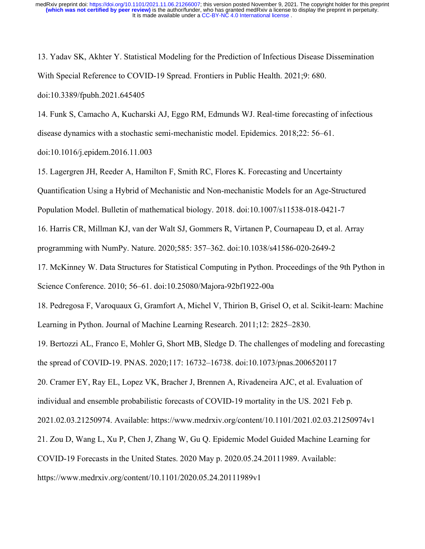13. Yadav SK, Akhter Y. Statistical Modeling for the Prediction of Infectious Disease Dissemination With Special Reference to COVID-19 Spread. Frontiers in Public Health. 2021;9: 680. doi:10.3389/fpubh.2021.645405

14. Funk S, Camacho A, Kucharski AJ, Eggo RM, Edmunds WJ. Real-time forecasting of infectious disease dynamics with a stochastic semi-mechanistic model. Epidemics. 2018;22: 56–61.

doi:10.1016/j.epidem.2016.11.003

15. Lagergren JH, Reeder A, Hamilton F, Smith RC, Flores K. Forecasting and Uncertainty

Quantification Using a Hybrid of Mechanistic and Non-mechanistic Models for an Age-Structured

Population Model. Bulletin of mathematical biology. 2018. doi:10.1007/s11538-018-0421-7

16. Harris CR, Millman KJ, van der Walt SJ, Gommers R, Virtanen P, Cournapeau D, et al. Array

programming with NumPy. Nature. 2020;585: 357–362. doi:10.1038/s41586-020-2649-2

17. McKinney W. Data Structures for Statistical Computing in Python. Proceedings of the 9th Python in Science Conference. 2010; 56–61. doi:10.25080/Majora-92bf1922-00a

18. Pedregosa F, Varoquaux G, Gramfort A, Michel V, Thirion B, Grisel O, et al. Scikit-learn: Machine Learning in Python. Journal of Machine Learning Research. 2011;12: 2825–2830.

19. Bertozzi AL, Franco E, Mohler G, Short MB, Sledge D. The challenges of modeling and forecasting the spread of COVID-19. PNAS. 2020;117: 16732–16738. doi:10.1073/pnas.2006520117

20. Cramer EY, Ray EL, Lopez VK, Bracher J, Brennen A, Rivadeneira AJC, et al. Evaluation of

individual and ensemble probabilistic forecasts of COVID-19 mortality in the US. 2021 Feb p.

2021.02.03.21250974. Available: https://www.medrxiv.org/content/10.1101/2021.02.03.21250974v1

21. Zou D, Wang L, Xu P, Chen J, Zhang W, Gu Q. Epidemic Model Guided Machine Learning for

COVID-19 Forecasts in the United States. 2020 May p. 2020.05.24.20111989. Available:

https://www.medrxiv.org/content/10.1101/2020.05.24.20111989v1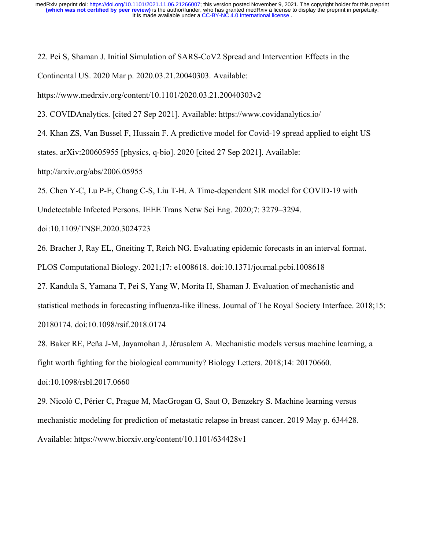22. Pei S, Shaman J. Initial Simulation of SARS-CoV2 Spread and Intervention Effects in the Continental US. 2020 Mar p. 2020.03.21.20040303. Available:

https://www.medrxiv.org/content/10.1101/2020.03.21.20040303v2

23. COVIDAnalytics. [cited 27 Sep 2021]. Available: https://www.covidanalytics.io/

24. Khan ZS, Van Bussel F, Hussain F. A predictive model for Covid-19 spread applied to eight US

states. arXiv:200605955 [physics, q-bio]. 2020 [cited 27 Sep 2021]. Available:

http://arxiv.org/abs/2006.05955

25. Chen Y-C, Lu P-E, Chang C-S, Liu T-H. A Time-dependent SIR model for COVID-19 with

Undetectable Infected Persons. IEEE Trans Netw Sci Eng. 2020;7: 3279–3294.

doi:10.1109/TNSE.2020.3024723

26. Bracher J, Ray EL, Gneiting T, Reich NG. Evaluating epidemic forecasts in an interval format.

PLOS Computational Biology. 2021;17: e1008618. doi:10.1371/journal.pcbi.1008618

27. Kandula S, Yamana T, Pei S, Yang W, Morita H, Shaman J. Evaluation of mechanistic and statistical methods in forecasting influenza-like illness. Journal of The Royal Society Interface. 2018;15: 20180174. doi:10.1098/rsif.2018.0174

28. Baker RE, Peña J-M, Jayamohan J, Jérusalem A. Mechanistic models versus machine learning, a fight worth fighting for the biological community? Biology Letters. 2018;14: 20170660.

doi:10.1098/rsbl.2017.0660

29. Nicolò C, Périer C, Prague M, MacGrogan G, Saut O, Benzekry S. Machine learning versus mechanistic modeling for prediction of metastatic relapse in breast cancer. 2019 May p. 634428. Available: https://www.biorxiv.org/content/10.1101/634428v1